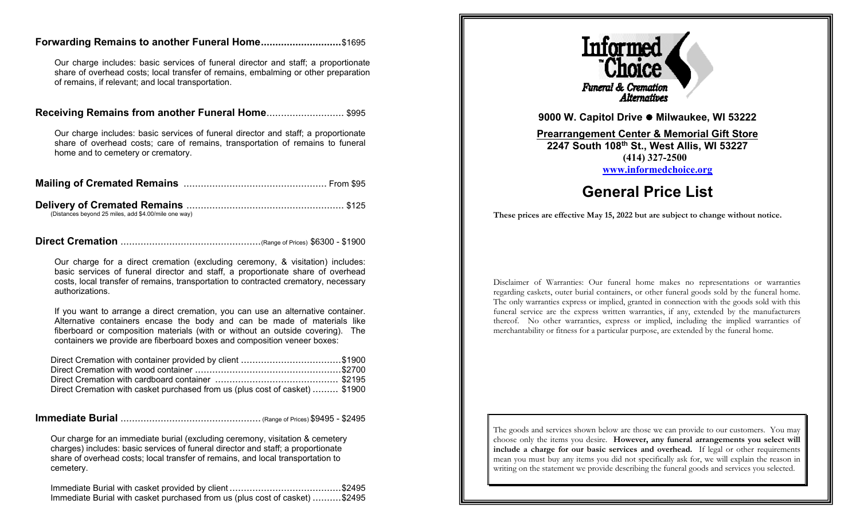### **Forwarding Remains to another Funeral Home............................**\$1695

Our charge includes: basic services of funeral director and staff; a proportionate share of overhead costs; local transfer of remains, embalming or other preparation of remains, if relevant; and local transportation.

#### **Receiving Remains from another Funeral Home**........................... \$995

Our charge includes: basic services of funeral director and staff; a proportionate share of overhead costs; care of remains, transportation of remains to funeral home and to cemetery or crematory.

| (Distances beyond 25 miles, add \$4.00/mile one way) |  |
|------------------------------------------------------|--|

**Direct Cremation** .................................................(Range of Prices) \$6300 - \$1900

Our charge for a direct cremation (excluding ceremony, & visitation) includes: basic services of funeral director and staff, a proportionate share of overhead costs, local transfer of remains, transportation to contracted crematory, necessary authorizations.

If you want to arrange a direct cremation, you can use an alternative container. Alternative containers encase the body and can be made of materials like fiberboard or composition materials (with or without an outside covering). The containers we provide are fiberboard boxes and composition veneer boxes:

| Direct Cremation with container provided by client \$1900                    |  |
|------------------------------------------------------------------------------|--|
|                                                                              |  |
|                                                                              |  |
| Direct Cremation with casket purchased from us (plus cost of casket)  \$1900 |  |

## **Immediate Burial** ................................................. (Range of Prices) \$9495 - \$2495

Our charge for an immediate burial (excluding ceremony, visitation & cemetery charges) includes: basic services of funeral director and staff; a proportionate share of overhead costs; local transfer of remains, and local transportation to cemetery.

Immediate Burial with casket provided by client .......................................\$2495 Immediate Burial with casket purchased from us (plus cost of casket) ..........\$2495



**9000 W. Capitol Drive Milwaukee, WI 53222**

**Prearrangement Center & Memorial Gift Store 2247 South 108th St., West Allis, WI 53227 (414) 327-2500 [www.informedchoice.org](http://www.informedchoice.org/)**

# **General Price List**

**These prices are effective May 15, 2022 but are subject to change without notice.**

Disclaimer of Warranties: Our funeral home makes no representations or warranties regarding caskets, outer burial containers, or other funeral goods sold by the funeral home. The only warranties express or implied, granted in connection with the goods sold with this funeral service are the express written warranties, if any, extended by the manufacturers thereof. No other warranties, express or implied, including the implied warranties of merchantability or fitness for a particular purpose, are extended by the funeral home.

The goods and services shown below are those we can provide to our customers. You may choose only the items you desire. **However, any funeral arrangements you select will include a charge for our basic services and overhead.** If legal or other requirements mean you must buy any items you did not specifically ask for, we will explain the reason in writing on the statement we provide describing the funeral goods and services you selected.